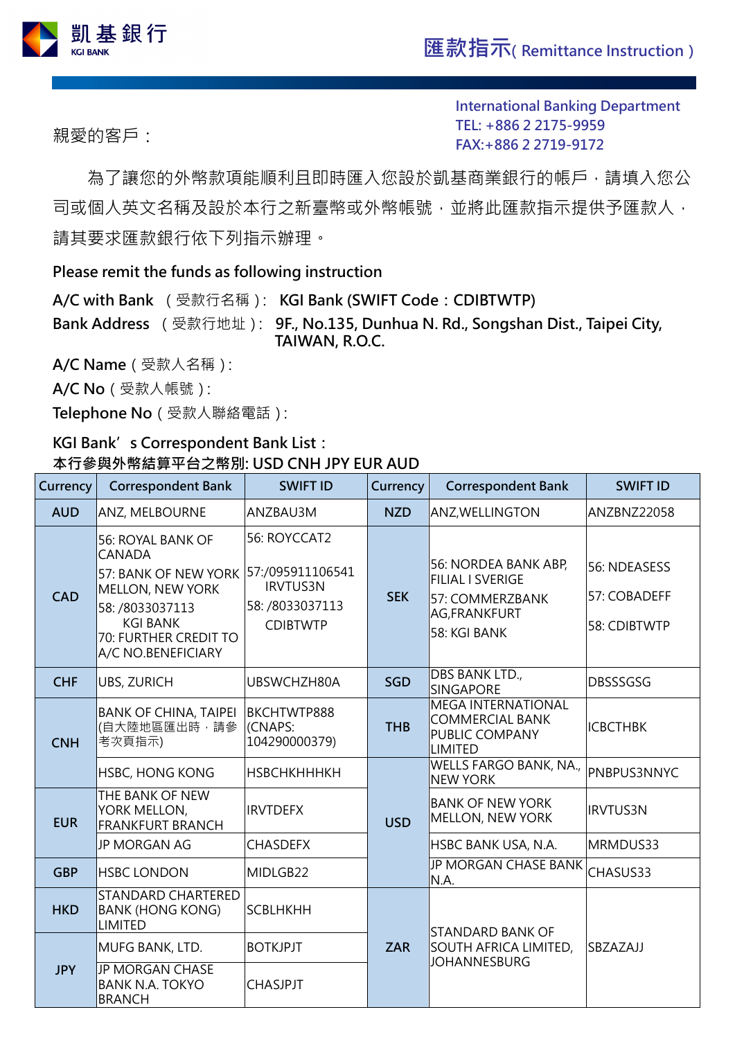

親愛的客戶:

**International Banking Department TEL: [+886](TEL:+886) 2 2175-9959 FAX:+886 2 2719-9172**

為了讓您的外幣款項能順利且即時匯入您設於凱基商業銀行的帳戶,請填入您公 司或個人英文名稱及設於本行之新臺幣或外幣帳號,並將此匯款指示提供予匯款人, 請其要求匯款銀行依下列指示辦理。

## **Please remit the funds as following instruction**

**A/C with Bank** (受款行名稱): **KGI Bank (SWIFT Code:CDIBTWTP) Bank Address** (受款行地址): **9F., No.135, Dunhua N. Rd., Songshan Dist., Taipei City, TAIWAN, R.O.C.** 

**A/C Name**(受款人名稱):

**A/C No**(受款人帳號):

**Telephone No**(受款人聯絡電話):

## **KGI Bank's Correspondent Bank List: 本行參與外幣結算平台之幣別: USD CNH JPY EUR AUD**

| Currency   | <b>Correspondent Bank</b>                                                                                                                                                         | <b>SWIFT ID</b>                                                                           | Currency   | <b>Correspondent Bank</b>                                                                          | <b>SWIFT ID</b>                              |
|------------|-----------------------------------------------------------------------------------------------------------------------------------------------------------------------------------|-------------------------------------------------------------------------------------------|------------|----------------------------------------------------------------------------------------------------|----------------------------------------------|
| <b>AUD</b> | <b>ANZ, MELBOURNE</b>                                                                                                                                                             | ANZBAU3M                                                                                  | <b>NZD</b> | <b>ANZ, WELLINGTON</b>                                                                             | ANZBNZ22058                                  |
| <b>CAD</b> | <b>56: ROYAL BANK OF</b><br><b>CANADA</b><br>57: BANK OF NEW YORK<br><b>MELLON, NEW YORK</b><br>58: /8033037113<br><b>KGI BANK</b><br>70: FURTHER CREDIT TO<br>A/C NO.BENEFICIARY | 56: ROYCCAT2<br>57:/095911106541<br><b>IRVTUS3N</b><br>58: /8033037113<br><b>CDIBTWTP</b> | <b>SEK</b> | 56: NORDEA BANK ABP,<br><b>FILIAL I SVERIGE</b><br>57: COMMERZBANK<br>AG,FRANKFURT<br>58: KGI BANK | 56: NDEASESS<br>57: COBADEFF<br>58: CDIBTWTP |
| <b>CHF</b> | <b>UBS, ZURICH</b>                                                                                                                                                                | UBSWCHZH80A                                                                               | <b>SGD</b> | DBS BANK LTD.,<br><b>SINGAPORE</b>                                                                 | <b>DBSSSGSG</b>                              |
| <b>CNH</b> | <b>BANK OF CHINA, TAIPEI</b><br>(自大陸地區匯出時,請參<br>考次頁指示)                                                                                                                            | BKCHTWTP888<br>(CNAPS:<br>104290000379)                                                   | <b>THB</b> | <b>MEGA INTERNATIONAL</b><br>COMMERCIAL BANK<br>PUBLIC COMPANY<br>LIMITED                          | <b>ICBCTHBK</b>                              |
|            | <b>HSBC, HONG KONG</b>                                                                                                                                                            | <b>НЅВСНКНННКН</b>                                                                        | <b>USD</b> | <b>WELLS FARGO BANK, NA.,</b><br><b>INEW YORK</b>                                                  | <b>PNBPUS3NNYC</b>                           |
| <b>EUR</b> | THE BANK OF NEW<br>YORK MELLON,<br><b>FRANKFURT BRANCH</b>                                                                                                                        | <b>IRVTDEFX</b>                                                                           |            | BANK OF NEW YORK<br>MELLON, NEW YORK                                                               | <b>IRVTUS3N</b>                              |
|            | <b>JP MORGAN AG</b>                                                                                                                                                               | <b>CHASDEFX</b>                                                                           |            | HSBC BANK USA, N.A.                                                                                | MRMDUS33                                     |
| <b>GBP</b> | <b>HSBC LONDON</b>                                                                                                                                                                | MIDLGB22                                                                                  |            | JP MORGAN CHASE BANK<br>N.A.                                                                       | CHASUS33                                     |
| <b>HKD</b> | <b>STANDARD CHARTERED</b><br><b>BANK (HONG KONG)</b><br><b>LIMITED</b>                                                                                                            | <b>SCBLHKHH</b>                                                                           | <b>ZAR</b> | <b>STANDARD BANK OF</b><br>SOUTH AFRICA LIMITED,<br>SBZAZAJJ<br><b>JOHANNESBURG</b>                |                                              |
| <b>JPY</b> | MUFG BANK, LTD.                                                                                                                                                                   | <b>BOTKJPJT</b>                                                                           |            |                                                                                                    |                                              |
|            | <b>JP MORGAN CHASE</b><br><b>BANK N.A. TOKYO</b><br><b>BRANCH</b>                                                                                                                 | <b>CHASJPJT</b>                                                                           |            |                                                                                                    |                                              |